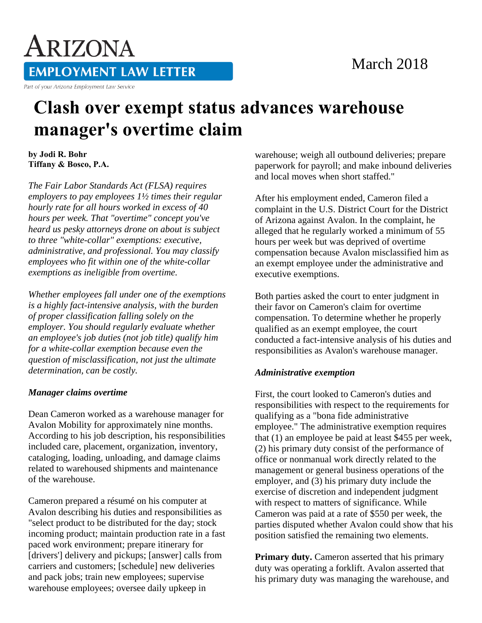### March 2018

# ARIZONA **EMPLOYMENT LAW LETTER**

Part of your Arizona Employment Law Service

## **Clash over exempt status advances warehouse manager's overtime claim**

**by Jodi R. Bohr Tiffany & Bosco, P.A.** 

*The Fair Labor Standards Act (FLSA) requires employers to pay employees 1½ times their regular hourly rate for all hours worked in excess of 40 hours per week. That "overtime" concept you've heard us pesky attorneys drone on about is subject to three "white-collar" exemptions: executive, administrative, and professional. You may classify employees who fit within one of the white-collar exemptions as ineligible from overtime.*

*Whether employees fall under one of the exemptions is a highly fact-intensive analysis, with the burden of proper classification falling solely on the employer. You should regularly evaluate whether an employee's job duties (not job title) qualify him for a white-collar exemption because even the question of misclassification, not just the ultimate determination, can be costly.*

#### *Manager claims overtime*

Dean Cameron worked as a warehouse manager for Avalon Mobility for approximately nine months. According to his job description, his responsibilities included care, placement, organization, inventory, cataloging, loading, unloading, and damage claims related to warehoused shipments and maintenance of the warehouse.

Cameron prepared a résumé on his computer at Avalon describing his duties and responsibilities as "select product to be distributed for the day; stock incoming product; maintain production rate in a fast paced work environment; prepare itinerary for [drivers'] delivery and pickups; [answer] calls from carriers and customers; [schedule] new deliveries and pack jobs; train new employees; supervise warehouse employees; oversee daily upkeep in

warehouse; weigh all outbound deliveries; prepare paperwork for payroll; and make inbound deliveries and local moves when short staffed."

After his employment ended, Cameron filed a complaint in the U.S. District Court for the District of Arizona against Avalon. In the complaint, he alleged that he regularly worked a minimum of 55 hours per week but was deprived of overtime compensation because Avalon misclassified him as an exempt employee under the administrative and executive exemptions.

Both parties asked the court to enter judgment in their favor on Cameron's claim for overtime compensation. To determine whether he properly qualified as an exempt employee, the court conducted a fact-intensive analysis of his duties and responsibilities as Avalon's warehouse manager.

#### *Administrative exemption*

First, the court looked to Cameron's duties and responsibilities with respect to the requirements for qualifying as a "bona fide administrative employee." The administrative exemption requires that (1) an employee be paid at least \$455 per week, (2) his primary duty consist of the performance of office or nonmanual work directly related to the management or general business operations of the employer, and (3) his primary duty include the exercise of discretion and independent judgment with respect to matters of significance. While Cameron was paid at a rate of \$550 per week, the parties disputed whether Avalon could show that his position satisfied the remaining two elements.

**Primary duty.** Cameron asserted that his primary duty was operating a forklift. Avalon asserted that his primary duty was managing the warehouse, and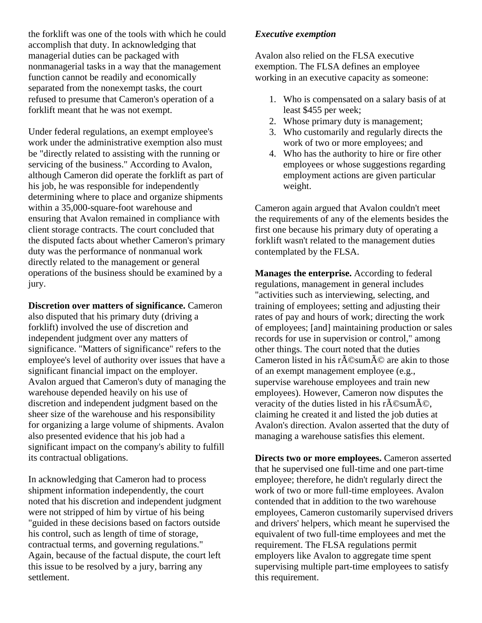the forklift was one of the tools with which he could accomplish that duty. In acknowledging that managerial duties can be packaged with nonmanagerial tasks in a way that the management function cannot be readily and economically separated from the nonexempt tasks, the court refused to presume that Cameron's operation of a forklift meant that he was not exempt.

Under federal regulations, an exempt employee's work under the administrative exemption also must be "directly related to assisting with the running or servicing of the business." According to Avalon, although Cameron did operate the forklift as part of his job, he was responsible for independently determining where to place and organize shipments within a 35,000-square-foot warehouse and ensuring that Avalon remained in compliance with client storage contracts. The court concluded that the disputed facts about whether Cameron's primary duty was the performance of nonmanual work directly related to the management or general operations of the business should be examined by a jury.

**Discretion over matters of significance.** Cameron also disputed that his primary duty (driving a forklift) involved the use of discretion and independent judgment over any matters of significance. "Matters of significance" refers to the employee's level of authority over issues that have a significant financial impact on the employer. Avalon argued that Cameron's duty of managing the warehouse depended heavily on his use of discretion and independent judgment based on the sheer size of the warehouse and his responsibility for organizing a large volume of shipments. Avalon also presented evidence that his job had a significant impact on the company's ability to fulfill its contractual obligations.

In acknowledging that Cameron had to process shipment information independently, the court noted that his discretion and independent judgment were not stripped of him by virtue of his being "guided in these decisions based on factors outside his control, such as length of time of storage, contractual terms, and governing regulations." Again, because of the factual dispute, the court left this issue to be resolved by a jury, barring any settlement.

#### *Executive exemption*

Avalon also relied on the FLSA executive exemption. The FLSA defines an employee working in an executive capacity as someone:

- 1. Who is compensated on a salary basis of at least \$455 per week;
- 2. Whose primary duty is management;
- 3. Who customarily and regularly directs the work of two or more employees; and
- 4. Who has the authority to hire or fire other employees or whose suggestions regarding employment actions are given particular weight.

Cameron again argued that Avalon couldn't meet the requirements of any of the elements besides the first one because his primary duty of operating a forklift wasn't related to the management duties contemplated by the FLSA.

**Manages the enterprise.** According to federal regulations, management in general includes "activities such as interviewing, selecting, and training of employees; setting and adjusting their rates of pay and hours of work; directing the work of employees; [and] maintaining production or sales records for use in supervision or control," among other things. The court noted that the duties Cameron listed in his r $\tilde{A}$ ©sum $\tilde{A}$ © are akin to those of an exempt management employee (e.g., supervise warehouse employees and train new employees). However, Cameron now disputes the veracity of the duties listed in his r $\tilde{A}$ ©sum $\tilde{A}$ ©, claiming he created it and listed the job duties at Avalon's direction. Avalon asserted that the duty of managing a warehouse satisfies this element.

**Directs two or more employees.** Cameron asserted that he supervised one full-time and one part-time employee; therefore, he didn't regularly direct the work of two or more full-time employees. Avalon contended that in addition to the two warehouse employees, Cameron customarily supervised drivers and drivers' helpers, which meant he supervised the equivalent of two full-time employees and met the requirement. The FLSA regulations permit employers like Avalon to aggregate time spent supervising multiple part-time employees to satisfy this requirement.